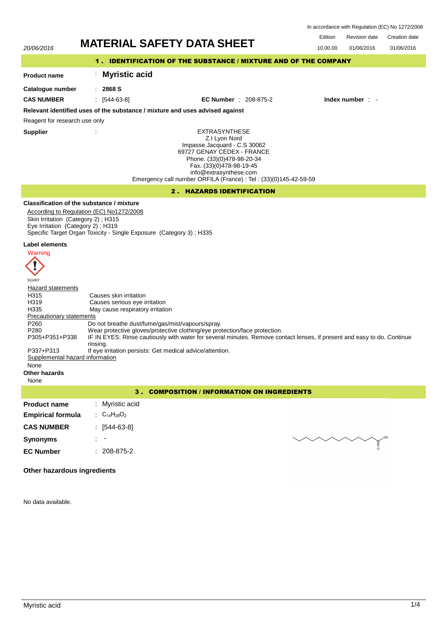In accordance with Regulation (EC) No 1272/2008

## Edition Revision date Creation date Revision date 20/06/2016 **MATERIAL SAFETY DATA SHEET** 10.00.00 01/06/2016 01/06/2016 1 . IDENTIFICATION OF THE SUBSTANCE / MIXTURE AND OF THE COMPANY : **Myristic acid Product name Catalogue number** : **2868 S CAS NUMBER** : [544-63-8] **EC Number** : 208-875-2 **Index number** : - **Relevant identified uses of the substance / mixture and uses advised against** Reagent for research use only **Supplier** : EXTRASYNTHESE Z.I Lyon Nord Impasse Jacquard - C.S 30062 69727 GENAY CEDEX - FRANCE Phone. (33)(0)478-98-20-34 Fax. (33)(0)478-98-19-45 info@extrasynthese.com Emergency call number ORFILA (France) : Tel : (33)(0)145-42-59-59 2 . HAZARDS IDENTIFICATION **Classification of the substance / mixture** According to Regulation (EC) No1272/2008 Skin Irritation (Category 2) ; H315 Eye Irritation (Category 2) ; H319 Specific Target Organ Toxicity - Single Exposure (Category 3) ; H335 **Label elements** Warning I SGH07 **Hazard statements** H315 Causes skin irritation<br>
H319 Causes serious eve in H319 Causes serious eye irritation<br>H335 May cause respiratory irritation May cause respiratory irritation Precautionary statements P260 Do not breathe dust/fume/gas/mist/vapours/spray.<br>P280 Wear protective gloves/protective clothing/eye pro Wear protective gloves/protective clothing/eye protection/face protection. P305+P351+P338 IF IN EYES: Rinse cautiously with water for several minutes. Remove contact lenses, if present and easy to do. Continue rinsing. P337+P313 If eye irritation persists: Get medical advice/attention.<br>Supplemental hazard information Supplemental hazard None **Other hazards** None

| 3. COMPOSITION / INFORMATION ON INGREDIENTS |                                                             |  |
|---------------------------------------------|-------------------------------------------------------------|--|
| <b>Product name</b>                         | : Myristic acid                                             |  |
| <b>Empirical formula</b>                    | $\therefore$ C <sub>14</sub> H <sub>28</sub> O <sub>2</sub> |  |
| <b>CAS NUMBER</b>                           | [544-63-8]<br>÷                                             |  |
| <b>Synonyms</b>                             | mmy<br>$\sim$                                               |  |
| <b>EC Number</b>                            | 208-875-2<br>٠                                              |  |

# **Other hazardous ingredients**

No data available.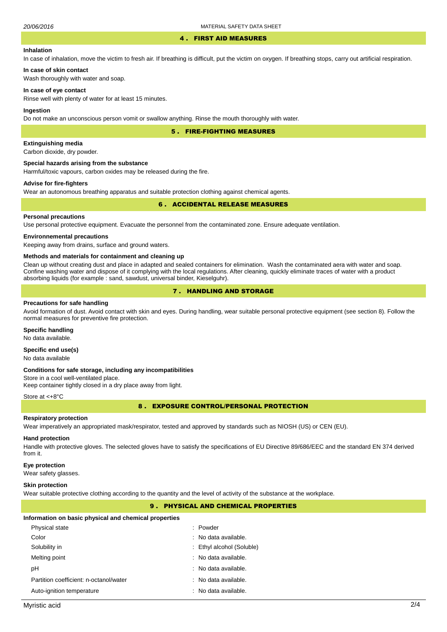#### 4 . FIRST AID MEASURES

# **Inhalation**

In case of inhalation, move the victim to fresh air. If breathing is difficult, put the victim on oxygen. If breathing stops, carry out artificial respiration.

# **In case of skin contact**

Wash thoroughly with water and soap.

#### **In case of eye contact**

Rinse well with plenty of water for at least 15 minutes.

#### **Ingestion**

Do not make an unconscious person vomit or swallow anything. Rinse the mouth thoroughly with water.

5 . FIRE-FIGHTING MEASURES

# **Extinguishing media**

Carbon dioxide, dry powder.

#### **Special hazards arising from the substance**

Harmful/toxic vapours, carbon oxides may be released during the fire.

# **Advise for fire-fighters**

Wear an autonomous breathing apparatus and suitable protection clothing against chemical agents.

## 6 . ACCIDENTAL RELEASE MEASURES

## **Personal precautions**

Use personal protective equipment. Evacuate the personnel from the contaminated zone. Ensure adequate ventilation.

## **Environnemental precautions**

Keeping away from drains, surface and ground waters.

#### **Methods and materials for containment and cleaning up**

Clean up without creating dust and place in adapted and sealed containers for elimination. Wash the contaminated aera with water and soap. Confine washing water and dispose of it complying with the local regulations. After cleaning, quickly eliminate traces of water with a product absorbing liquids (for example : sand, sawdust, universal binder, Kieselguhr).

# 7 . HANDLING AND STORAGE

#### **Precautions for safe handling**

Avoid formation of dust. Avoid contact with skin and eyes. During handling, wear suitable personal protective equipment (see section 8). Follow the normal measures for preventive fire protection.

# **Specific handling**

No data available.

# **Specific end use(s)**

No data available

#### **Conditions for safe storage, including any incompatibilities**

Store in a cool well-ventilated place. Keep container tightly closed in a dry place away from light.

#### Store at <+8°C

8 . EXPOSURE CONTROL/PERSONAL PROTECTION

#### **Respiratory protection**

Wear imperatively an appropriated mask/respirator, tested and approved by standards such as NIOSH (US) or CEN (EU).

#### **Hand protection**

Handle with protective gloves. The selected gloves have to satisfy the specifications of EU Directive 89/686/EEC and the standard EN 374 derived from it.

#### **Eye protection**

Wear safety glasses.

#### **Skin protection**

Wear suitable protective clothing according to the quantity and the level of activity of the substance at the workplace.

# 9 . PHYSICAL AND CHEMICAL PROPERTIES

#### **Information on basic physical and chemical properties**

| Physical state                         | : Powder                  |
|----------------------------------------|---------------------------|
| Color                                  | : No data available.      |
| Solubility in                          | : Ethyl alcohol (Soluble) |
| Melting point                          | : No data available.      |
| рH                                     | : No data available.      |
| Partition coefficient: n-octanol/water | : No data available.      |
| Auto-ignition temperature              | : No data available.      |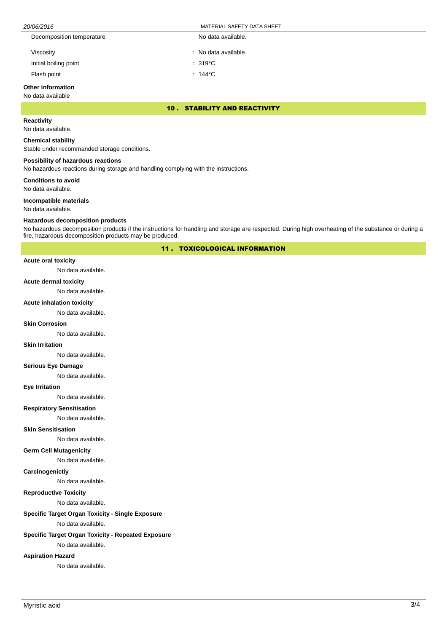| 20/06/2016 | <b>SAFETY DATA SHEET</b><br>MATERIAL |
|------------|--------------------------------------|
|            |                                      |

| Decomposition temperature | No data available.   |
|---------------------------|----------------------|
| Viscosity                 | : No data available. |
| Initial boiling point     | $: 319^{\circ}$ C    |
| Flash point               | : 144 $^{\circ}$ C   |

# **Other information**

No data available

10 . STABILITY AND REACTIVITY

# **Reactivity**

No data available.

#### **Chemical stability**

Stable under recommanded storage conditions.

## **Possibility of hazardous reactions**

No hazardous reactions during storage and handling complying with the instructions.

**Conditions to avoid**

No data available.

#### **Incompatible materials**

No data available.

#### **Hazardous decomposition products**

No hazardous decomposition products if the instructions for handling and storage are respected. During high overheating of the substance or during a fire, hazardous decomposition products may be produced.

11 . TOXICOLOGICAL INFORMATION

# **Acute oral toxicity**

No data available.

#### **Acute dermal toxicity**

No data available.

## **Acute inhalation toxicity**

No data available.

## **Skin Corrosion**

No data available.

#### **Skin Irritation**

No data available.

# **Serious Eye Damage**

No data available.

## **Eye Irritation**

No data available.

## **Respiratory Sensitisation**

No data available.

# **Skin Sensitisation**

No data available.

### **Germ Cell Mutagenicity**

No data available.

# **Carcinogenictiy**

No data available.

# **Reproductive Toxicity**

No data available.

# **Specific Target Organ Toxicity - Single Exposure**

No data available.

# **Specific Target Organ Toxicity - Repeated Exposure**

No data available.

# **Aspiration Hazard**

No data available.